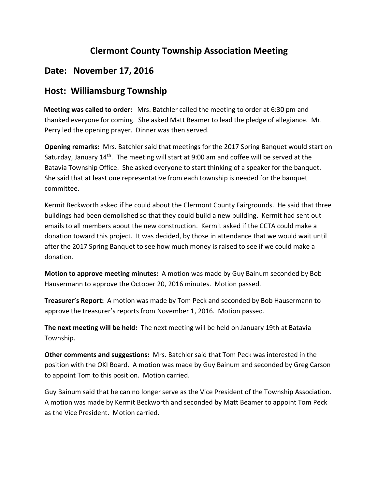## **Clermont County Township Association Meeting**

## **Date: November 17, 2016**

## **Host: Williamsburg Township**

 **Meeting was called to order:** Mrs. Batchler called the meeting to order at 6:30 pm and thanked everyone for coming. She asked Matt Beamer to lead the pledge of allegiance. Mr. Perry led the opening prayer. Dinner was then served.

**Opening remarks:** Mrs. Batchler said that meetings for the 2017 Spring Banquet would start on Saturday, January 14<sup>th</sup>. The meeting will start at 9:00 am and coffee will be served at the Batavia Township Office. She asked everyone to start thinking of a speaker for the banquet. She said that at least one representative from each township is needed for the banquet committee.

Kermit Beckworth asked if he could about the Clermont County Fairgrounds. He said that three buildings had been demolished so that they could build a new building. Kermit had sent out emails to all members about the new construction. Kermit asked if the CCTA could make a donation toward this project. It was decided, by those in attendance that we would wait until after the 2017 Spring Banquet to see how much money is raised to see if we could make a donation.

**Motion to approve meeting minutes:** A motion was made by Guy Bainum seconded by Bob Hausermann to approve the October 20, 2016 minutes. Motion passed.

**Treasurer's Report:** A motion was made by Tom Peck and seconded by Bob Hausermann to approve the treasurer's reports from November 1, 2016. Motion passed.

**The next meeting will be held:** The next meeting will be held on January 19th at Batavia Township.

**Other comments and suggestions:** Mrs. Batchler said that Tom Peck was interested in the position with the OKI Board. A motion was made by Guy Bainum and seconded by Greg Carson to appoint Tom to this position. Motion carried.

Guy Bainum said that he can no longer serve as the Vice President of the Township Association. A motion was made by Kermit Beckworth and seconded by Matt Beamer to appoint Tom Peck as the Vice President. Motion carried.